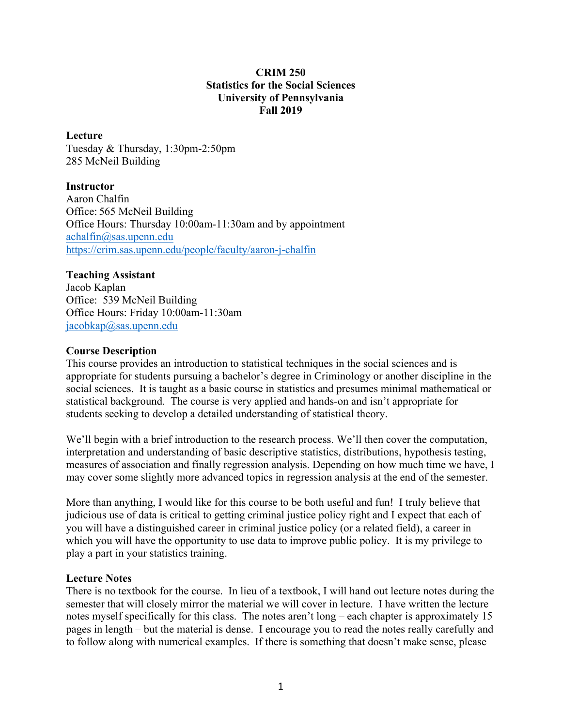## **CRIM 250 Statistics for the Social Sciences University of Pennsylvania Fall 2019**

#### **Lecture**

Tuesday & Thursday, 1:30pm-2:50pm 285 McNeil Building

#### **Instructor**

Aaron Chalfin Office: 565 McNeil Building Office Hours: Thursday 10:00am-11:30am and by appointment achalfin@sas.upenn.edu https://crim.sas.upenn.edu/people/faculty/aaron-j-chalfin

# **Teaching Assistant**

Jacob Kaplan Office: 539 McNeil Building Office Hours: Friday 10:00am-11:30am jacobkap@sas.upenn.edu

## **Course Description**

This course provides an introduction to statistical techniques in the social sciences and is appropriate for students pursuing a bachelor's degree in Criminology or another discipline in the social sciences. It is taught as a basic course in statistics and presumes minimal mathematical or statistical background. The course is very applied and hands-on and isn't appropriate for students seeking to develop a detailed understanding of statistical theory.

We'll begin with a brief introduction to the research process. We'll then cover the computation, interpretation and understanding of basic descriptive statistics, distributions, hypothesis testing, measures of association and finally regression analysis. Depending on how much time we have, I may cover some slightly more advanced topics in regression analysis at the end of the semester.

More than anything, I would like for this course to be both useful and fun! I truly believe that judicious use of data is critical to getting criminal justice policy right and I expect that each of you will have a distinguished career in criminal justice policy (or a related field), a career in which you will have the opportunity to use data to improve public policy. It is my privilege to play a part in your statistics training.

#### **Lecture Notes**

There is no textbook for the course. In lieu of a textbook, I will hand out lecture notes during the semester that will closely mirror the material we will cover in lecture. I have written the lecture notes myself specifically for this class. The notes aren't long – each chapter is approximately 15 pages in length – but the material is dense. I encourage you to read the notes really carefully and to follow along with numerical examples. If there is something that doesn't make sense, please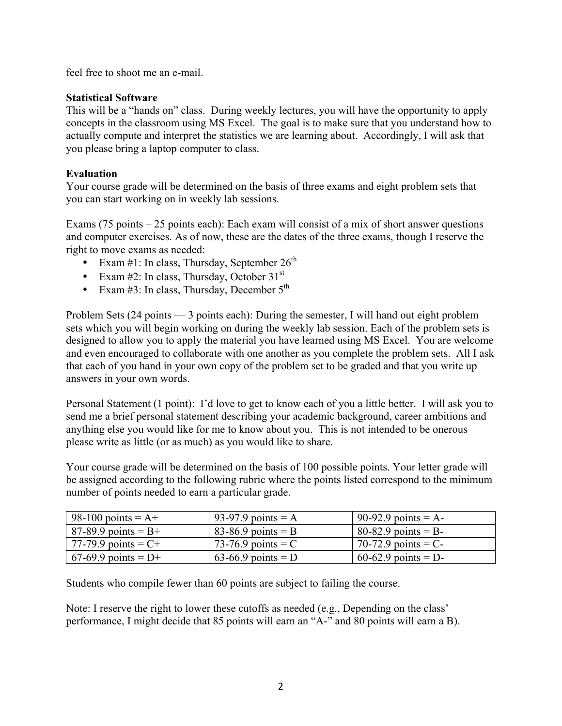feel free to shoot me an e-mail.

# **Statistical Software**

This will be a "hands on" class. During weekly lectures, you will have the opportunity to apply concepts in the classroom using MS Excel. The goal is to make sure that you understand how to actually compute and interpret the statistics we are learning about. Accordingly, I will ask that you please bring a laptop computer to class.

# **Evaluation**

Your course grade will be determined on the basis of three exams and eight problem sets that you can start working on in weekly lab sessions.

Exams (75 points – 25 points each): Each exam will consist of a mix of short answer questions and computer exercises. As of now, these are the dates of the three exams, though I reserve the right to move exams as needed:

- Exam #1: In class, Thursday, September  $26<sup>th</sup>$
- Exam #2: In class, Thursday, October  $31<sup>st</sup>$
- Exam  $#3$ : In class, Thursday, December  $5<sup>th</sup>$

Problem Sets (24 points — 3 points each): During the semester, I will hand out eight problem sets which you will begin working on during the weekly lab session. Each of the problem sets is designed to allow you to apply the material you have learned using MS Excel. You are welcome and even encouraged to collaborate with one another as you complete the problem sets. All I ask that each of you hand in your own copy of the problem set to be graded and that you write up answers in your own words.

Personal Statement (1 point): I'd love to get to know each of you a little better. I will ask you to send me a brief personal statement describing your academic background, career ambitions and anything else you would like for me to know about you. This is not intended to be onerous – please write as little (or as much) as you would like to share.

Your course grade will be determined on the basis of 100 possible points. Your letter grade will be assigned according to the following rubric where the points listed correspond to the minimum number of points needed to earn a particular grade.

| 98-100 points = $A+$   | 93-97.9 points = A   | 90-92.9 points = $A$ - |
|------------------------|----------------------|------------------------|
| 87-89.9 points = $B+$  | 83-86.9 points = B   | 80-82.9 points = $B-$  |
| 77-79.9 points $= C +$ | 73-76.9 points = $C$ | 70-72.9 points = $C$ - |
| 67-69.9 points = $D+$  | 63-66.9 points = D   | 60-62.9 points = D-    |

Students who compile fewer than 60 points are subject to failing the course.

Note: I reserve the right to lower these cutoffs as needed (e.g., Depending on the class' performance, I might decide that 85 points will earn an "A-" and 80 points will earn a B).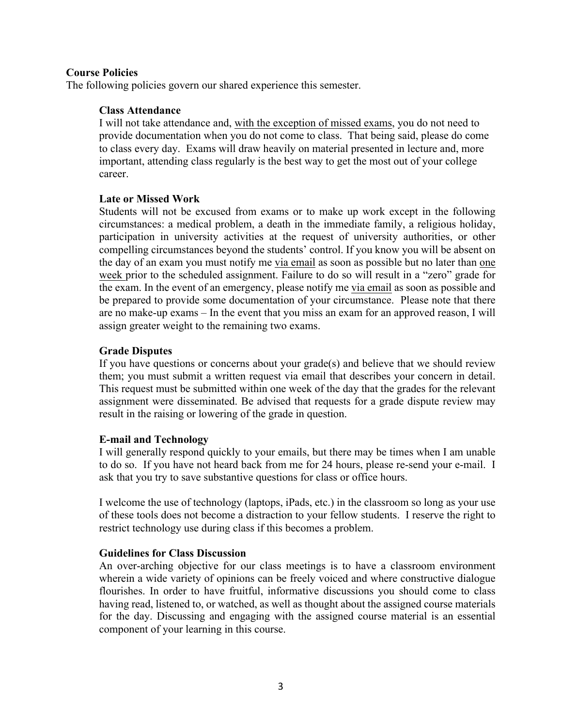#### **Course Policies**

The following policies govern our shared experience this semester.

#### **Class Attendance**

I will not take attendance and, with the exception of missed exams, you do not need to provide documentation when you do not come to class. That being said, please do come to class every day. Exams will draw heavily on material presented in lecture and, more important, attending class regularly is the best way to get the most out of your college career.

#### **Late or Missed Work**

Students will not be excused from exams or to make up work except in the following circumstances: a medical problem, a death in the immediate family, a religious holiday, participation in university activities at the request of university authorities, or other compelling circumstances beyond the students' control. If you know you will be absent on the day of an exam you must notify me via email as soon as possible but no later than one week prior to the scheduled assignment. Failure to do so will result in a "zero" grade for the exam. In the event of an emergency, please notify me via email as soon as possible and be prepared to provide some documentation of your circumstance. Please note that there are no make-up exams – In the event that you miss an exam for an approved reason, I will assign greater weight to the remaining two exams.

#### **Grade Disputes**

If you have questions or concerns about your grade(s) and believe that we should review them; you must submit a written request via email that describes your concern in detail. This request must be submitted within one week of the day that the grades for the relevant assignment were disseminated. Be advised that requests for a grade dispute review may result in the raising or lowering of the grade in question.

#### **E-mail and Technology**

I will generally respond quickly to your emails, but there may be times when I am unable to do so. If you have not heard back from me for 24 hours, please re-send your e-mail. I ask that you try to save substantive questions for class or office hours.

I welcome the use of technology (laptops, iPads, etc.) in the classroom so long as your use of these tools does not become a distraction to your fellow students. I reserve the right to restrict technology use during class if this becomes a problem.

#### **Guidelines for Class Discussion**

An over-arching objective for our class meetings is to have a classroom environment wherein a wide variety of opinions can be freely voiced and where constructive dialogue flourishes. In order to have fruitful, informative discussions you should come to class having read, listened to, or watched, as well as thought about the assigned course materials for the day. Discussing and engaging with the assigned course material is an essential component of your learning in this course.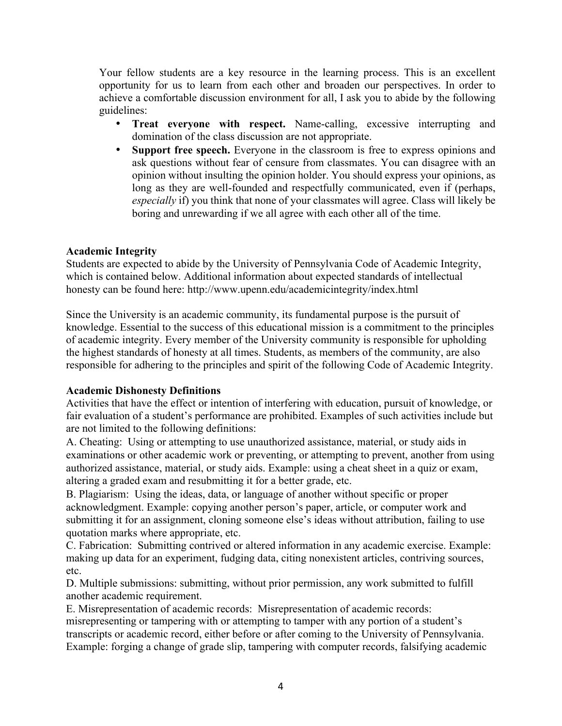Your fellow students are a key resource in the learning process. This is an excellent opportunity for us to learn from each other and broaden our perspectives. In order to achieve a comfortable discussion environment for all, I ask you to abide by the following guidelines:

- **Treat everyone with respect.** Name-calling, excessive interrupting and domination of the class discussion are not appropriate.
- **Support free speech.** Everyone in the classroom is free to express opinions and ask questions without fear of censure from classmates. You can disagree with an opinion without insulting the opinion holder. You should express your opinions, as long as they are well-founded and respectfully communicated, even if (perhaps, *especially* if) you think that none of your classmates will agree. Class will likely be boring and unrewarding if we all agree with each other all of the time.

## **Academic Integrity**

Students are expected to abide by the University of Pennsylvania Code of Academic Integrity, which is contained below. Additional information about expected standards of intellectual honesty can be found here: http://www.upenn.edu/academicintegrity/index.html

Since the University is an academic community, its fundamental purpose is the pursuit of knowledge. Essential to the success of this educational mission is a commitment to the principles of academic integrity. Every member of the University community is responsible for upholding the highest standards of honesty at all times. Students, as members of the community, are also responsible for adhering to the principles and spirit of the following Code of Academic Integrity.

#### **Academic Dishonesty Definitions**

Activities that have the effect or intention of interfering with education, pursuit of knowledge, or fair evaluation of a student's performance are prohibited. Examples of such activities include but are not limited to the following definitions:

A. Cheating: Using or attempting to use unauthorized assistance, material, or study aids in examinations or other academic work or preventing, or attempting to prevent, another from using authorized assistance, material, or study aids. Example: using a cheat sheet in a quiz or exam, altering a graded exam and resubmitting it for a better grade, etc.

B. Plagiarism: Using the ideas, data, or language of another without specific or proper acknowledgment. Example: copying another person's paper, article, or computer work and submitting it for an assignment, cloning someone else's ideas without attribution, failing to use quotation marks where appropriate, etc.

C. Fabrication: Submitting contrived or altered information in any academic exercise. Example: making up data for an experiment, fudging data, citing nonexistent articles, contriving sources, etc.

D. Multiple submissions: submitting, without prior permission, any work submitted to fulfill another academic requirement.

E. Misrepresentation of academic records: Misrepresentation of academic records: misrepresenting or tampering with or attempting to tamper with any portion of a student's transcripts or academic record, either before or after coming to the University of Pennsylvania. Example: forging a change of grade slip, tampering with computer records, falsifying academic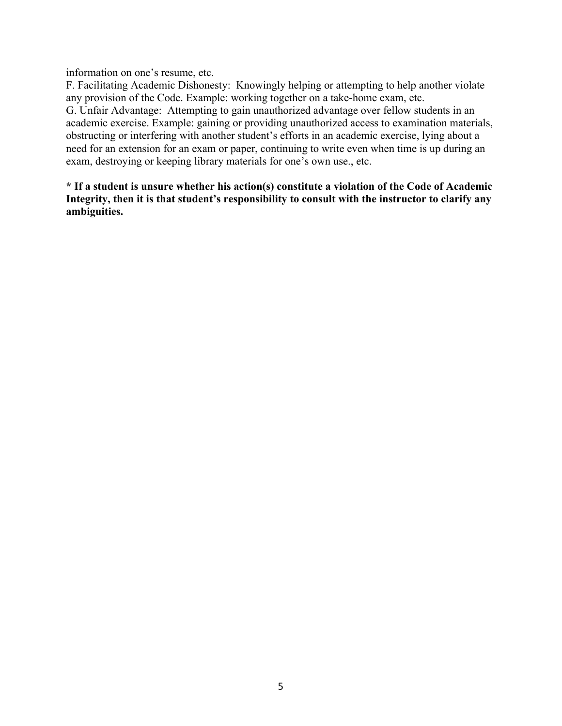information on one's resume, etc.

F. Facilitating Academic Dishonesty: Knowingly helping or attempting to help another violate any provision of the Code. Example: working together on a take-home exam, etc. G. Unfair Advantage: Attempting to gain unauthorized advantage over fellow students in an academic exercise. Example: gaining or providing unauthorized access to examination materials, obstructing or interfering with another student's efforts in an academic exercise, lying about a need for an extension for an exam or paper, continuing to write even when time is up during an exam, destroying or keeping library materials for one's own use., etc.

**\* If a student is unsure whether his action(s) constitute a violation of the Code of Academic Integrity, then it is that student's responsibility to consult with the instructor to clarify any ambiguities.**